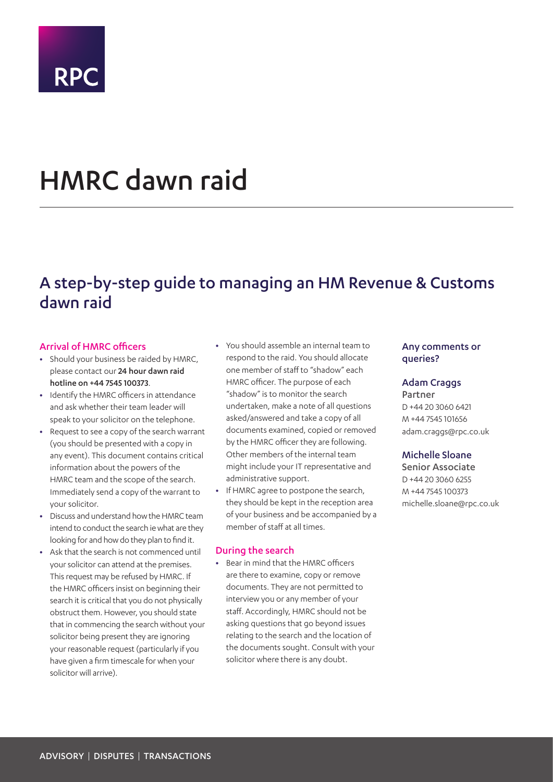

# HMRC dawn raid

## A step-by-step guide to managing an HM Revenue & Customs dawn raid

#### Arrival of HMRC officers

- **•** Should your business be raided by HMRC, please contact our 24 hour dawn raid hotline on +44 7545 100373.
- **•** Identify the HMRC officers in attendance and ask whether their team leader will speak to your solicitor on the telephone.
- **•** Request to see a copy of the search warrant (you should be presented with a copy in any event). This document contains critical information about the powers of the HMRC team and the scope of the search. Immediately send a copy of the warrant to your solicitor.
- **•** Discuss and understand how the HMRC team intend to conduct the search ie what are they looking for and how do they plan to find it.
- **•** Ask that the search is not commenced until your solicitor can attend at the premises. This request may be refused by HMRC. If the HMRC officers insist on beginning their search it is critical that you do not physically obstruct them. However, you should state that in commencing the search without your solicitor being present they are ignoring your reasonable request (particularly if you have given a firm timescale for when your solicitor will arrive).
- **•** You should assemble an internal team to respond to the raid. You should allocate one member of staff to "shadow" each HMRC officer. The purpose of each "shadow" is to monitor the search undertaken, make a note of all questions asked/answered and take a copy of all documents examined, copied or removed by the HMRC officer they are following. Other members of the internal team might include your IT representative and administrative support.
- **•** If HMRC agree to postpone the search, they should be kept in the reception area of your business and be accompanied by a member of staff at all times.

#### During the search

**•** Bear in mind that the HMRC officers are there to examine, copy or remove documents. They are not permitted to interview you or any member of your staff. Accordingly, HMRC should not be asking questions that go beyond issues relating to the search and the location of the documents sought. Consult with your solicitor where there is any doubt.

### Any comments or queries?

#### Adam Craggs

Partner D +44 20 3060 6421 M +44 7545 101656 adam.craggs@rpc.co.uk

### Michelle Sloane

Senior Associate D +44 20 3060 6255 M +44 7545 100373 michelle.sloane@rpc.co.uk